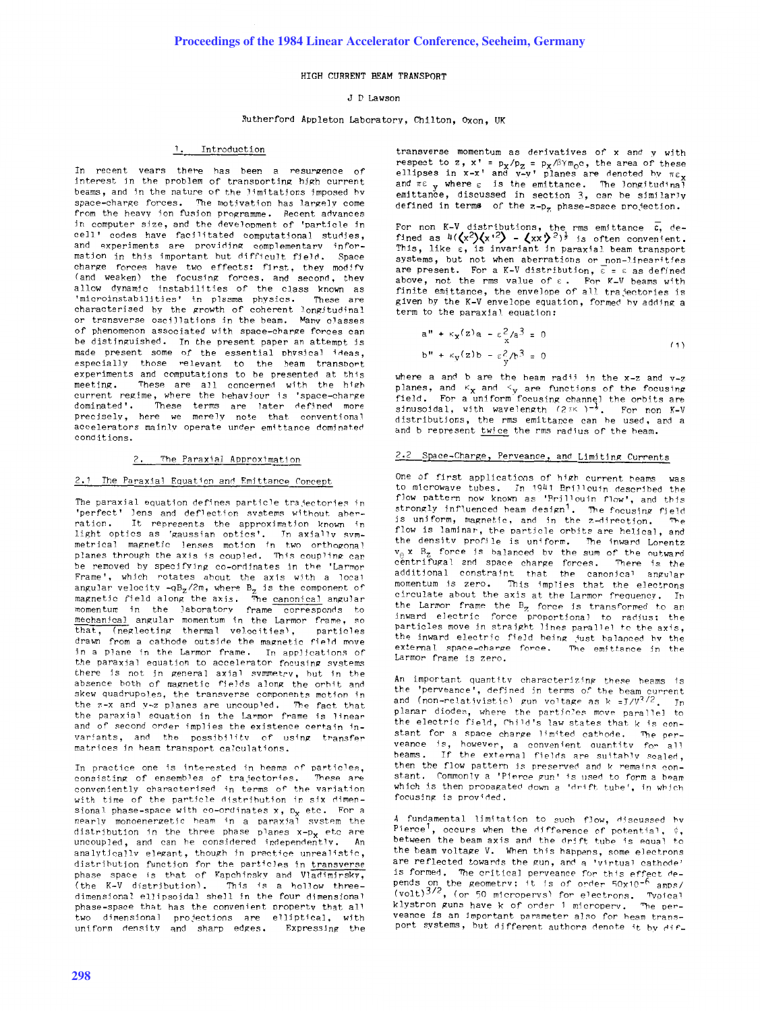## HIGH CURRENT BEAM TRANSPORT

## J D Lawson

### Rutherford Appleton Laboratory, Chilton, Oxon, UK

## 1. Introduction

In recent vears there has been a resurgence of interest in the problem of transporting high current beams, and in the nature of the limitations imposed hv space-charge forces. The motivation has largely come from the heavy ion fusion programme. Recent advances in computer size, and the development of 'particle in cell' codes have facilitated computational studies, and experiments are providing complementary information in this important but difficult field. Space charge forces have two effects: first, they modify (and weaken) the focusing forces, and second, they allow dynamic instabilities of the class known as<br>'microinstabilities' in plasma physics. These are 'microinstabilities' in plasma physics. characterised hy the growth of coherent longitudinal or transverse oscillations in the beam. Many classes of phenomenon assoc iated wi th space-charge forces can be distinguished. In the present paper an attempt is made present some of the essential phvsical ideas, especially those relevant to the beam transport experiments and computations to be presented at this<br>meeting. These are all concerned with the high These are all concerned with the high current regime, where the hehaviour is 'space-charge dominated'. These terms are later defined more preCisely, here we merely note that conventional accelerators mainlv operate under emittance dominated conditions.

# 2. The Paraxial Approximation

## 2.1 The Paraxial Equation and Emittance Concept

The paraxial equation defines particle trajectories in 'perfect' lens and deflection systems without aher-It represents the approximation known in light optics as 'gaussian optics'. In axially symmetrical magnetic lenses motion in two orthogonal planes through the axis is coupled. This coupling can be removed by specifying co-ordinates in the 'Larmor Frame', which rotates about the axis with a local angular velocity *-*qB<sub>z</sub>/2m, where B<sub>z</sub> is the component of<br>magnetic field along the axis. The <u>canonical</u> angular momentum in the laboratory frame corresponds to<br>mechanical angular momentum in the Larmor frame, so that, (neglecting thermal velocities). particles drawn from a cathode outside the magnetic field move in a plane in the Larmor frame. In applications of the paraxial equation to accelerator focusing systems there is not in general axial symmetry, but in the absence both of magnetic fields along the orbit and skew quadrupoles, the transverse components motion in the  $z-x$  and  $y-z$  planes are uncoupled. The fact that the paraxial equation in the Larmor frame is linear and of second order implies the existence certain invariants, and the possibilitv of using transfer matrices in heam transport calculations.

In practice one is interested in heams of particles, consisting of ensembles of trajectories. These are conveniently characterised in terms of the variation with time of the particle distribution in six dimensional phase-space with co-ordinates  $x$ ,  $D_x$  etc. For a near Iv monoenergetic heam in a Daraxial system the distribution in the three phase planes  $x-p_x$  etc are uncoupled, and can he considered independently. An analytically elegant, though in practice unrealistic, distribution function for the particles in transverse phase space is that of Kapchinsky and Vladimirsky,<br>(the K-V distribution). This is a hollow threedimensional ellipsoidal shell in the four dimensional <sup>p</sup>hase-space that has the convenient property that all two dimensional projections are elliptical, with uniform density and sharp edges. Expressing the

transverse momentum as derivatives of x and y with respect to z, x' = p<sub>x</sub>/p<sub>z</sub> = p<sub>x</sub>/βΥπ<sub>ο</sub>c, the area of these<br>ellipses in x-x' and y-y' planes are denoted hy πε<sub>x</sub> and  $\pi \epsilon$  y where  $\epsilon$  is the emittance. The longitudinal emittance, discussed in section 3, can be similarly defined in terms of the  $z-p_z$  phase-space projection.

For non K-V distributions, the rms emittance c, de-<br>fined as 4( $\langle x^2 \rangle \langle x^{1/2} \rangle$  -  $\langle xx \rangle^2$ )<sup>}</sup> is often convenient. This, like  $\varepsilon$ , is invariant in paraxial beam transport systems, but not when aberrations or non-linearities are present. For a K-V distribution,  $\overline{\epsilon}$  =  $\epsilon$  as defined above, not the rms value of  $\varepsilon$ . For K-V beams with finite emittance, the envelope of all trajectories is <sup>g</sup>iven hy the *K-V* envelope equation, formed hy adding <sup>a</sup> term to the paraxial equation:

$$
a'' + \kappa_{\mathbf{x}}(z)a - \varepsilon_{\mathbf{x}}^2 / a^3 = 0
$$
  
\n
$$
b'' + \kappa_{\mathbf{y}}(z)b - \varepsilon_{\mathbf{y}}^2 / b^3 = 0
$$
 (1)

where a and b are the beam radii in the  $x-z$  and  $y-z$ planes, and K<sub>X</sub> and K<sub>y</sub> are functions of the focusing<br>field. For a uniform focusing channel the orbits are<br>sinusoidal, with wavelength (2mK)<sup>-\*</sup>. For non K-V distributions, the rms emittance can he used, and <sup>a</sup> and b represent twice the rms radius of the heam.

# 2.2 Space-Charge, Perveance, and Limiting Currents

One of first applications of high current beams to microwave tubes. In 1941 Brillouin described the flow pattern now known as 'Brillouin flow', and this strongly influenced heam design<sup>1</sup>. The focusing field<br>is uniform, magnetic, and in the z-direction. The is uniform, magnetic, and in the  $z$ -direction. flow is laminar, the particle orbits are helical, and the density profile is uniform. The inward Lorentz  $v_A$  x  $B_z$  force is balanced bv the sum of the outward centrifugal and space charge forces. There is the additional constraint that the canonical angular momentum is zero. This implies that the electrons circulate about the axis at the Larmor frequency. In the Larmor frame the  $B_{z}$  force is transformed to an inward electric force proportional to radius: the particles move in straight Jines parallel to the axis, the inward electric field being just balanced hy the<br>external space-charge force. The emittance in the external space-charge force. Larmor frame is zero.

An important quantity characterizing these heams is the 'perveance', defined in terms of the heam current and (non-relativistic) gun voltage as k =J/V<sup>3/2</sup>. In <sup>p</sup>lanar diodes, where the particles move parallel to the electric field, Child's law states that k is constant for a space charge limited cathode. The perveance is, however, a convenient auantitv for all beams. If the external fields are suitably scaled, then the flow pattern is preserved and  $k$  remains constant. Commonly a 'Pierce gun' is used to form a beam which is then propagated down a 'drift tube', in which focusing is provided.

A fundamental limitation to such flow, discussed by Pierce<sup>1</sup>, occurs when the difference of potential,  $\phi$ , between the beam axis and the drift tube is equal to the beam voltage V. When this happens, some eJectrons are reflected towards the gun, and a 'virtual cathode' is formed. The critical perveance for this effect depends on the geometry; it is of order 50x10<sup>-6</sup> amps/<br>(volt)<sup>3/2</sup>, (or 50 micropervs) for electrons. Typical klystron guns have k of order 1 microperv. The perveance is an important parameter also for heam transport systems, but different authors denote it by dif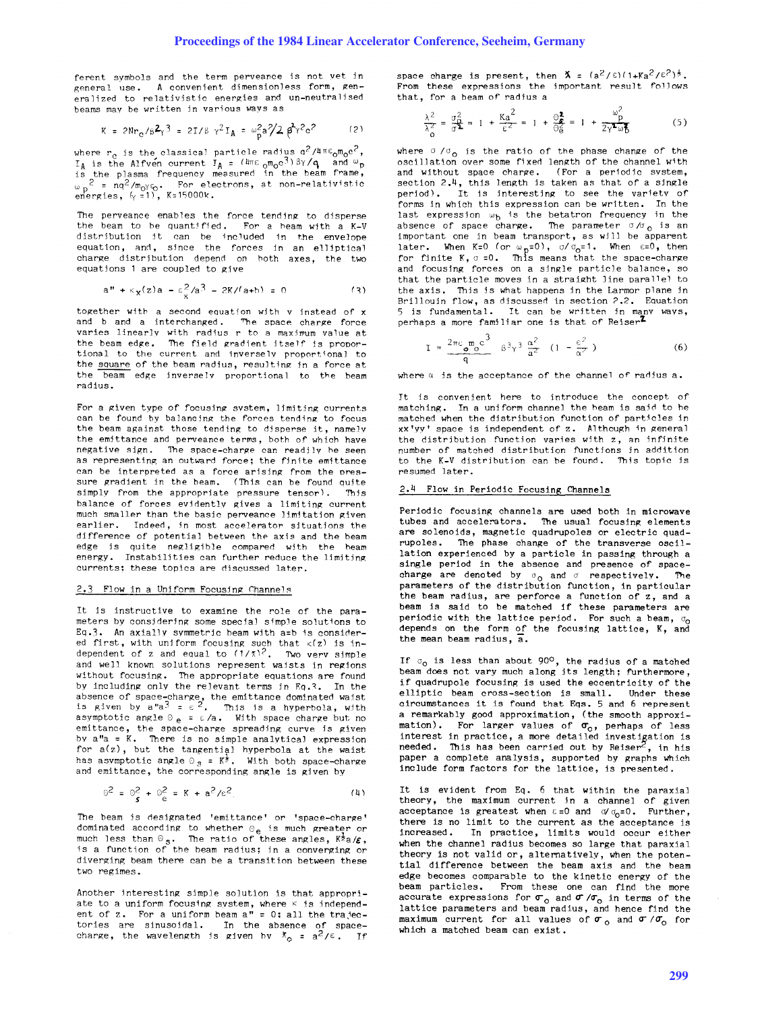ferent symbols and the term perveance is not vet in general use. A convenient dimensionless form, generalized to relativistic energies and un-neutralised **beams may be written jn various \o..rays as** 

$$
K = 2Nr_{C}/\beta^{2}\gamma^{3} = 2I/\beta \gamma^{2}I_{A} = \omega_{D}^{2}a^{2}/2 \beta^{2}r^{2}c^{2}
$$
 (2)

where  $r_c$  is the classical particle radius  $a^2/4\pi\epsilon_0 m_0 c^2$ , I<sub>A</sub> is the Alfven current I<sub>A</sub> = ( $u_{\rm T6\ cm}$ <sub>0</sub>m<sub>0</sub>c<sup>3</sup>)βγ/q, and w<sub>p</sub><br>is the plasma frequency measured in the beam frame,  $\omega_{\rm p}$ <sup>2</sup> = nq<sup>2</sup>/m<sub>o</sub>y<sub>6</sub>. For electrons, at non-relativistic energies,  $\zeta$  =1), K=15000k.

The perveance enables the force tending to disperse the beam to be quantified. For a heam with a K-V distribution it can be included in the envelope equation, and, since the forces in an elliptical charge distribution depend on hoth axes, the two equations 1 are coupled to give

$$
a'' + \kappa_X(z)a - \epsilon_X^2/a^3 - 2K/(a+b) = 0
$$
 (3)

together with a second equation with  $v$  instead of  $x$ and b and a interchanged. The space charge force varies linearly with radius r to a maximum value at<br>the beam edge**.** The field gradient itself is proportional to the current and inverselv proportional to the square of the beam radius, resulting in a force at the beam edge inverselv proportional to the beam radius.

For a given type of focusing system, limiting currents can be found by balancing the forces tending to focus the beam against those tending to disperse it, namely the emittance and perveance terms, both of which have negative sign. The space-charge can readily be seen as representing an outward force; the finite emittance can be interpreted as a force arising from the pressure gradient in the beam. (This can be found quite simply from the appropriate pressure tensor). This simply from the appropriate pressure tensor). balance of forces evidently gives a limiting current much smaller than the basic perveance limitation given earlier. Indeed, in most accelerator situations the difference of potential between the axis and the beam edge is quite negligible compared with the beam energy. Instabilities can further reduce the limiting currents: these topics are discussed later.

#### 2.3 Flow in a Uniform Focusing Channels

It is instructive to examine the role of the parameters by considering some special simple solutions to Ea.3. An axially symmetric beam with a=b is considered first, with uniform focusing such that  $\kappa(z)$  is in-<br>dependent of z and equal to  $(1/\chi)^2$ . Two verv simple and well known solutions represent waists in regions without focusing. The appropriate equations are found by including only the relevant terms in Eq.3. In the absence of space-charge, the emittance dominated waist<br>is given by a"a<sup>3</sup> =  $\varepsilon$  <sup>2</sup>. This is a hyperbola, with asymptotic angle  $\theta_e = \epsilon/a$ . With space charge but no emittance, the space-charge spreading curve is given bv a"a = K. There is no simple analytical expression for  $a(z)$ , but the tangential hyperbola at the waist has asymptotic angle  $\circ$   $_{3}$  = K<sup>t</sup>. With both space-charge and emittance, the corresponding angle is given by

$$
\Theta^2 = \Theta^2 + \Theta^2 = K + a^2/\epsilon^2
$$
 (4)

The beam is designated 'emittance' or 'space-charge' dominated according to whether  $\theta_{\mathbf{e}}$  is much greater or much less than  $\Theta_{\mathbf{S}}$ . The ratio of these angles,  $K^2a/\varepsilon$ , is a function of the beam radius; in a converging or diverging beam there can be a transition between these **two regimes.** 

Another interesting simple solution is that appropriate to a uniform focusing system, where  $K$  is independent of z. For a uniform beam  $a'' = 0$ ; all the trajec $t$  are sinusoidal. In the absence of spacecharge, the wavelength is given by  $\bar{x}_0 = a^2/\epsilon$ . If

space charge is present, then  $X = (a^2/\epsilon)(1+Ka^2/\epsilon^2)^{\frac{1}{2}}$ . From these expressions the important result follows that, for a beam of radius a

$$
\frac{\lambda^2}{\lambda^2} = \frac{\sigma_{\Omega}^2}{\sigma^2} = 1 + \frac{Ka^2}{\epsilon^2} = 1 + \frac{\Theta_{\Phi}^2}{\Theta_{\Theta}^2} = 1 + \frac{\omega_{\rho}^2}{2\gamma^2 \omega_{\Phi}^2}
$$
(5)

where  $\sigma / \sigma_0$  is the ratio of the phase change of the oscillation over some fixed length of the channel with and without space charge. (For a periodic system, section  $2.4$ , this length is taken as that of a single period). It is interesting to see the variety of forms in which this expression can be written. In the last expression  $\omega_b$  is the betatron frequency in the absence of space charge. The parameter  $\sigma/\sigma_0$  is an important one in beam transport, as will be apparent later. When K=O (or w<sub>p</sub>=O),  $\sigma/\sigma_{\text{o}}$ =1. When E=O, then<br>for finite K,  $\sigma$  =0. This means that the space-charge and focusing forces on a single particle balance, so that the particle moves in a straight line parallel to the axis. This is what happens in the Larmor plane in Brillouin flow, as discussed in section ?2. Eauation 5 is fundamental. It can be written in many ways,<br>perhaps a more familiar one is that of Reiser<sup>7</sup>

$$
I = \frac{2\pi\varepsilon_0 m_0 c^3}{q} \quad \beta^3 \gamma^3 \frac{\alpha^2}{a^2} \quad (1 - \frac{\varepsilon^2}{\alpha^2})
$$
 (6)

where  $\alpha$  is the acceptance of the channel of radius a.

It is convenient here to introduce the concept of matching. In a uniform channel the heam is said to he matched when the distribution function of particles in  $xx'yy'$  space is independent of  $z$ . Although in general the distribution function varies with z, an infinite number of matched distribution functions in addition to the K-V distribution can he found. This topic is resumed later.

## 2.4 Flow in Periodic Focusing Channels

Periodic focusing channels are used both in microwave tubes and accelerators. The usual focusing elements are solenoids, magnetic quadrupoles or electric quadrupoles. The phase change of the transverse oscillation experienced by a particle in passing through a single period in the absence and presence of spacecharge are denoted by  $\sigma_0$  and  $\sigma$  respectively. The parameters of the distribution function, in particular the beam radius, are perforce a function of z, and a beam is said to be matched if these parameters are periodic with the lattice period. For such a beam,  $\sigma_0$ depends on the form of the focusing lattice, K, and the mean beam radius,  $\overline{a}$ .

If  $\sigma_0$  is less than about 90<sup>o</sup>, the radius of a matched beam does not vary much along its length; furthermore, if quadrupole focusing is used the eccentricity of the elliptic beam cross-section is small. Under these circumstances it is found that Eqs. 5 and 6 represent a remarkably good approximation, (the smooth approximation). For larger values of  $\sigma_o$ , perhaps of less interest in practice, a more detailed investigation is needed. This has been carried out by  $Reiser^2$ , in his paper a complete analysis, supported by graphs which include form factors for the lattice, is presented.

It is evident from Eq. 6 that within the paraxial theory, the maximum current in a channel of given acceptance is greatest when  $\varepsilon = 0$  and  $\sigma/\sigma_0 = 0$ . Further, there is no limit to the current as the acceptance is increased. In practice, limits would occur either when the channel radius becomes so large that paraxial theory is not valid or, alternatively, when the potential difference between the beam axis and the heam edge becomes comparable to the kinetic energy of the beam particles. From these one can find the more accurate expressions for  $\sigma_0$  and  $\sigma$  / $\sigma_0$  in terms of the lattice parameters and beam radius, and hence find the maximum current for all values of  $\sigma_0$  and  $\sigma / \sigma_0$  for which a matched beam can exist.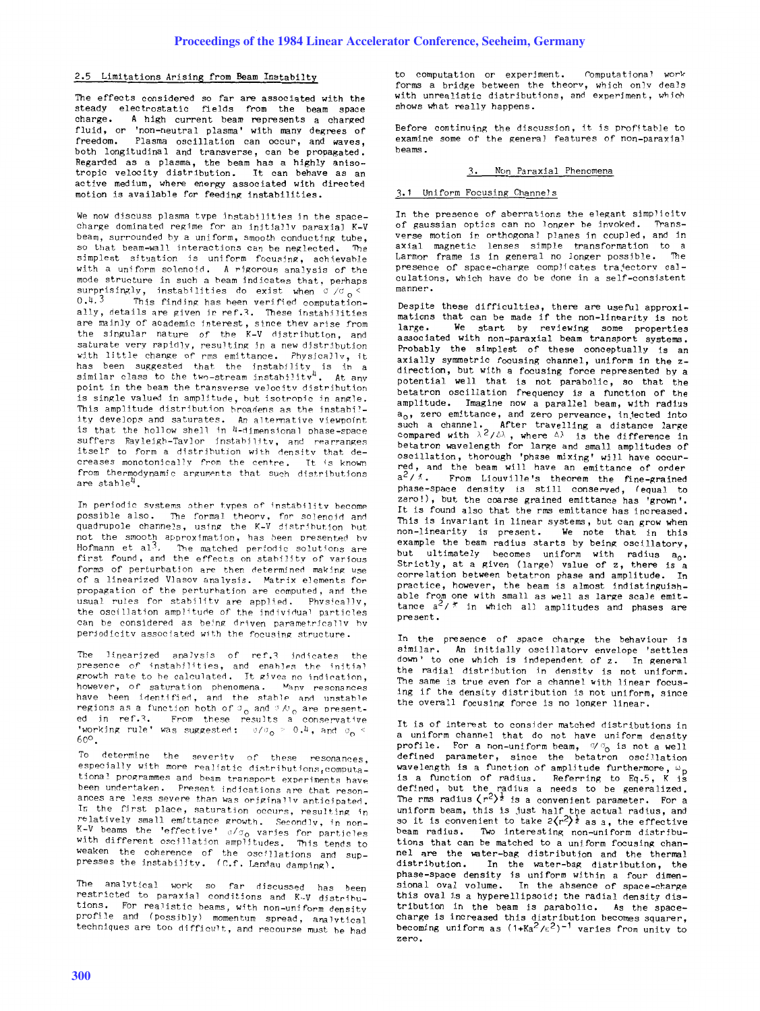## 2.5 Limitations Arising from Beam Instabilty

The effects considered so far are associated with the steady electrostatic fields from the beam space charge. A high current beam represents a charged fluid, or 'non-neutral plasma' with many degrees of freedom. Plasma oscillation can occur, and waves, both longitudinal and transverse, can be propagated. Regarded as <sup>a</sup>plasma, the beam has a highly anisotropic velocity distribution. It can behave as an active medium, where energy associated with directed motion is available for feeding instabilities.

We now discuss plasma type instabilities in the spacecharge dominated regime for an initially paraxial K-V beam, surrounded by a uniform, smooth conducting tube. so that beam-wall interactions can be neglected. The simplest situation is uniform focusing, achievable with a uniform solenoid. A rigorous analysis of the mode structure in such a beam indicates that, perhaps surprisingly, instabilities do exist when  $\sigma / \sigma_0$  <  $0.4.3$  This finding has been verified computationally, details are given in ref.3. These instabilities are mainly of academic interest, since thev arise from the singular nature of the K-V distribution, and saturate very rapidly, resulting in a new distribution with little change of rms emittance. Physically, it has been suggested that the instability is in a<br>similar class to the two-stream instabilitv<sup>4</sup>. At any point in the beam the transverse velocity distrihution is single valued in amplitude, hut isotropic in angle. This amplitude distribution hroadens as the instahility develops and saturates. An alternative viewpoint is that the hollow shell in 4-dimpnsional phase-space suffers Rayleigh-Taylor instability, and rearranges itself to form a distribution with density that de**creases monotonjcal1v from the centre. Tt is known**  from thermodynamic arguments that such distributions are stable $4$ 

In periodic systems other types of instability become possible also. The formal theory, for solenoid and quadrupole channels, using the K-V distribution but  ${\sf not\ the\ smooth\ approximations\ }$  **has been presented by** Hofmann et al'. The matched periodic solutions are Hofmann et  $a_1$ <sup>3</sup>. The matched periodic solutions are first found, and the effects on stability of various forms of perturbation are then determined making use of a linearized Vlasov analysis. Matrix elements for propagation of the perturbation are computed, and the usual rules for stability are applied. Physically, the oscillation amplitude of the individual particles can be considered as being driven parametrically by periodicity associated with the focusing structure.

The linearized analysis of ref.3 indicates the <code>presence of <code>instahilities, and </code> <code>enables</code> the <code>initial</code></code> growth rate to be calculated. It gives no indication, **however, of saturation phenomena.** ~,fanv **resonancps**  have been identified, and the stable and unstable **regions as a function both of**  $\sigma_0$  **and**  $\sigma/\sigma_0$  **are presented jn** ref.~. **From these results a conservative 'working rule' was suggested:**  $\sigma/(\sigma_0 > 0.4$ , and  $\sigma_0 <$  $60^\circ$ .

**To determine the severity of these resonances, especially with more realistic rlistrihutions,computa\_ tiona 1 programmes and beam transport experiments have been undertaken. Present indications Rre that resonances are less sevpre than was originally antjcipateo. In the fjrst place, saturation occurs, resulting ;n**  relatively small emittance growth. Secondly, in non-K-V beams the 'effective'  $_0/\sigma_{\rm O}$  varies for particles with different oscillation amplitudes. This tends to weaken the coherence of the oscillations and sup-<br>presses the instability, (C.f. Landau damping),

The ana lytical work so far discussed has been restricted to paraxial conditions and K-V distribu**tions. For realistic beams, with non-unj form densjty**  profile and (possibly) momentum spread, analytical techniques are too difficult, and recourse must he had

to computation or experiment. romputational **work**  forms a bridge between the theorv, which only deals with unrealistic distributions, and experiment, which shows what really happens.

Before continuing the discussion, it is profitable to examine some of the general features of non-paraxial beams.

## 3. Non Paraxial Phenomena

## 3.1 Uniform Focusing Channels

In the presence of aberrations the elegant simplicity of gaussian optics can no longer be invoked. Transverse motion in orthogonal planes in coupled, and *in*  axial magnetic lenses simple transformation to a Larmor frame is in general no longer possible. The presence of space-charge complicates trajectory calculations, which have do be done in a self-consistent **manner.** 

Despite these difficulties, there are useful approximations that can be made if the non-linearity is not<br>large. We start by reviewing some properties We start by reviewing some properties assoc iated with non-paraxial beam transport systems. Probably the simplest of these conceptually is an axially symmetric focusing channel, uniform in the zdirection, but with a focusing force represented by <sup>a</sup> potential well that is not parabolic, so that the betatron oscillation frequency is a function of the amplitude. Imagine now a parallel beam, with radius a<sub>o</sub>, zero emittance, and zero perveance, injected into such a channel. After travelling a distance large<br>compared with  $\lambda^2/\ell\lambda$ , where  $\Delta\lambda$  is the difference in betatron wavelength for large and small amplitudes of oscillation, thorough 'phase mixing' will have occurred, and the beam will have an emittance of order  $a^2 / \tilde{\lambda}$ . From Liouville's theorem the fine-grained <sup>p</sup>hase-space density is still conserved, (equal to zero!), but the coarse grained emittance has 'grown'. It is found also that the rms emittance has increased. This is invariant in linear systems, but can grow when non-linearity is present. We note that in this example the beam radius starts by being oscillatory, but ultimately becomes uniform with radius a<sub>0</sub>. Strictly, at a given (large) value of  $z$ , there is a correlation between betatron phase and amplitude. In practice, however, the beam is almost indistinguishable from one with small as well as large scale emittance  $a^2 / \pi$  in which all amplitudes and phases are present.

In the presence of space charge the behaviour is similar. An initially oscillatory envelope 'settles down' to one which is independent of  $z$ . In general the radial distribution in density is not uniform. The same is true even for a channel with linear focusing if the density distribution is not uniform, since the overall focusing force is no longer linear.

It is of interest to consider matched distributions in <sup>a</sup>uniform channel that do not have uniform density profile. For a non-uniform beam,  $\sqrt{\sigma}$  is not a well defined parameter, since the betatron oscillation wavelength is a function of amplitude furthermore,  $\omega_{_{\rm I\!D}}$ is a function of radius. Referring to Eq.5, K is defined, but the radius a needs to be generalized. The rms radius  $\langle r^2\rangle$  is a convenient parameter. For a uniform beam, this is just half the actual radius, and<br>so it is convenient to take 2 $\langle r^2 \rangle^{\frac{1}{2}}$  as a, the effective beam radius. Two interesting non-uniform distributions that can be matched to a uniform focusing channel are the water-bag distribution and the thermal distribution. In the water-bag distribution, the phase-space density is uniform within a four dimensional oval volume. In the absence of space-charge this oval is a hyperellipsoid; the radial density distribution in the beam *is* parabolic. As the spacecharge is increased this distribution hecomes squarer, becoming uniform as  $(1+Ka^2/\epsilon^2)^{-1}$  varies from unity to **zero.**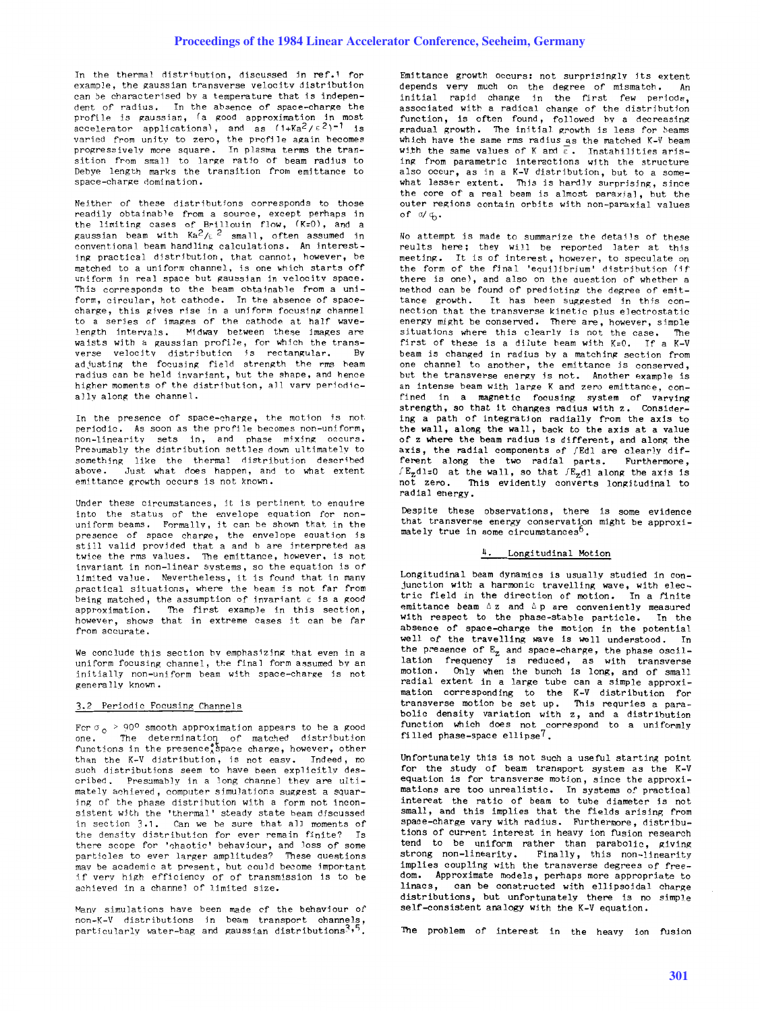In the thermal distribution, discussed in ref.1 for example, the gaussian transverse velocity distribution can be characterised by a temperature that is independent of radius. In the absence of space-charge the profile is gaussian, (a good approximation in most<br>accelerator applications), and as (1+Ka<sup>2</sup>/ɛ<sup>2</sup>)<sup>-1</sup> is varied from unity to zero, the profile again becomes progressively more square. In plasma terms the transition from small to large ratio of beam radius to Debye length marks the transition from emittance to space-charge domination.

Neither of these distributions corresponds to those readily obtainable from a source, except perhaps in the limiting cases of Brillouin flow, (K=O), and a<br>gaussian beam with Ka<sup>2</sup>/ɛ<sup>2</sup> small, often assumed in conventional beam handling calculations. An interesting practical distribution, that cannot, however, be matched to a uniform channel, is one which starts off uniform in real space but gaussian in velocity space. This corresponds to the beam obtainable from a uniform, circular, hot cathode. In the absence of spacecharge, this gives rise in a uniform focusing channel to a series of images of the cathode at half wavelength intervals. Midway between these images are waists with a gaussian profile, for which the transverse velocity distribution is rectangular. By adjusting the focusing field strength the rms heam radius can be held invariant, but the shape, and hence higher moments of the distribution, all varv periodically along the channel.

In the presence of space-charge, the motion is not. periodic. As soon as the profile becomes non-uniform, non-linearity sets in, and phase mixing occurs. Presumably the distribution settles down ultimately to something like the thermal distribution described above. Just what does happen, and to what extent emittance growth occurs is not known.

Under these circumstances, it is pertinent to enquire into the status of the envelope equation for nonuniform beams. Formallv, it can be shown that in the presence of space charge, the envelope equation is still valid provided that a and b are interpreted as twice the rms values. The emittance, however, is not invariant in non-linear systems, so the equation is of limited value. Nevertheless, it is found that in many practical situations, where the beam is not far from being matched, the assumption of invariant  $\varepsilon$  is a good approximation. The first example in this section, however, shows that in extreme cases it can be far from accurate.

We conclude this section by emphasizing that even in a uniform focusing channel, the final form assumed by an initially non-uniform beam with space-charge is not generally known.

### 3.2 Periodic Focusing Channels

For  $\sigma_o > 90^\circ$  smooth approximation appears to be a good one. The determination of matched distribution one. The determi na tion of matched distribution functions in the presence, space charge, however, other than the K-V distribution, is not easy. Indeed, no such distributions seem to have been explicitly described. Presumably in a long channel they are ultimately achieved, computer simulations suggest a squaring of the phase distribution with a form not inconsistent with the 'thermal' steady state beam discussed in section 3.1. Can we be sure that all moments of the density distribution for ever remain finite? Is there scope for 'chaotic' behaviour, and loss of some particles to ever larger amplitudes? These questions mav be academic at present, but could become important if very high efficiency of of transmission is to be<br>achieved in a channel of limited size.

Many simulations have been made of the behaviour of non-K-V distributions in beam transport channels, particularly water-bag and gaussian distributions<sup>3,5</sup>.

Emittance growth occurs: not surprisingly its extent depends very much on the degree of mismatch. An initial rapid change in the first few periods, associated with a radical change of the distribution function, is often found, followed by a decreasing gradual growth. The initial growth is less for beams which have the same rms radius as the matched K-V beam with the same values of K and  $\overline{\varepsilon}$ . Instabilities arising from parametric interactions with the structure also occur, as in a K-V distribution, but to a somewhat lesser extent. This is hardly surprising, since the core of a real beam is almost paraxial, but the outer regions contain orbits with non-paraxial values of  $d/\psi$ .

No attempt is made to summarize the details of these reults here; they will be reported later at this meeting. It is of interest, however, to speculate on the form of the final 'equilibrium' distribution (if there is one), and also on the question of whether a method can be found of predicting the degree of emittance growth. It has been suggested in this connection that the transverse kinetic plus electrostatic energy might be conserved. There are, however, simple situations where this clearly is not the case. The situations where this clearly is not the case. first of these is a dilute beam with  $K=0$ . If a  $K=V$ beam is changed in radius by a matching section from one channel to another, the emittance is conserved, but the transverse energy is not. Another example is an intense beam with large K and zero emittance, confined in a magnetic focusing system of varying strength, so that it changes radius with z. Considering a path of integration radially from the axis to the wall, along the wall, back to the axis at a value of z where the beam radius is different, and along the axis, the radial components of fEdl are clearly different along the two radial parts. Furthermore,  $f_{\text{z}}$ dl=O at the wall, so that  $f_{\text{z}}$ dl along the axis is not zero. This evidently converts longitudinal to radial energy.

Despite these observations, there is some evidence that transverse energy conservation might be approxi-<br>mately true in some circumstances<sup>5</sup>.

### 4. Longitudinal Motion

Longitudinal beam dynamics is usually studied in conjunction with a harmonic travelling wave, with electric field in the direction of motion. In a finite emittance beam  $\Delta z$  and  $\Delta p$  are conveniently measured with respect to the phase-stable particle. In the absence of space-charge the motion in the potential well of the travelling wave is well understood. In the presence of Ez and space-charge, the phase oscil-lation frequency is reduced, as with transverse motion. Only when the bunch is long, and of small radial extent in a large tube can a simple approximation corresponding to the K-V distribution for transverse motion be set up. This requries a para-bolic density variation with z, and a distribution function which does not correspond to a uniformly filled phase-space ellipse?

Unfortunately this is not such a useful starting point for the study of beam transport system as the K-V equation is for transverse motion, since the approximations are too unrealistic. In systems of practical interest the ratio of beam to tube diameter is not small, and this implies that the fields arising from space-charge vary with radius. Furthermore, distributions of current interest in heavy ion fusion research tend to be uniform rather than parabolic,  $q$ iving strong non-linearity. Finally, this non-linearity implies coupling with the transverse degrees of freedom. Approximate models, perhaps more appropriate to linacs. can be constructed with ellipsoidal charge can be constructed with ellipsoidal charge distributions, but unfortunately there is no simple self-consistent analogy with the K-V equation.

The problem of interest in the heavy ion fusion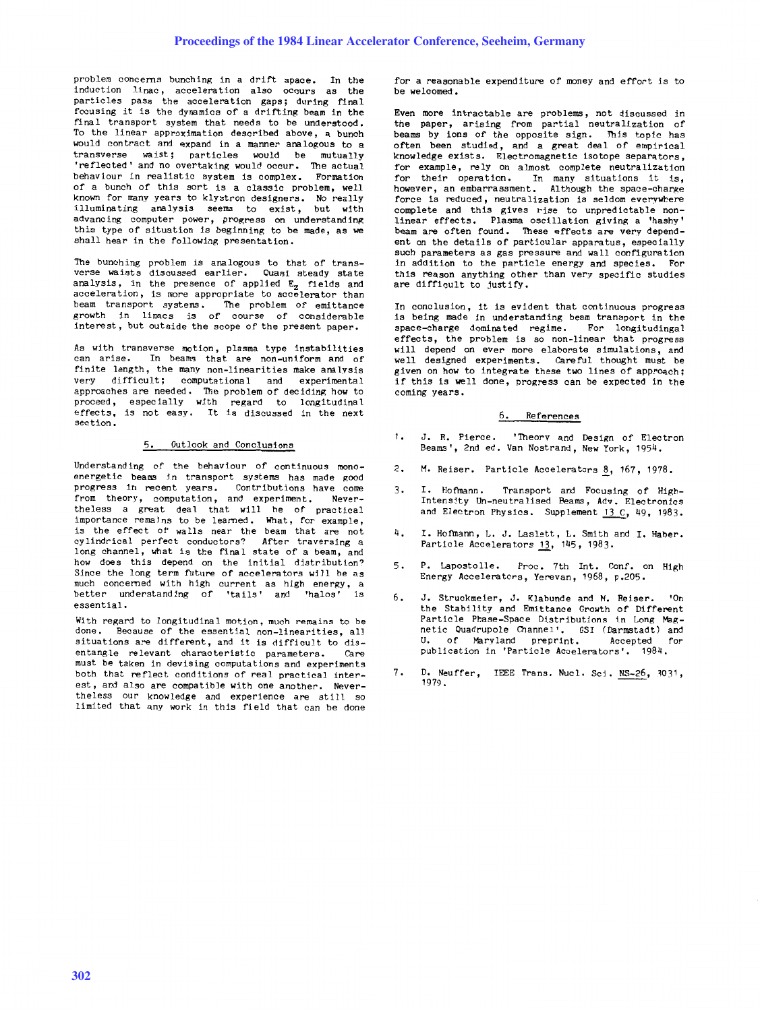problem concerns bunching in a drift space. In the induction linac, acceleration also occurs as the particles pass the acceleration gaps; during final focusing it is the dynamics of a drifting beam in the final transport system that needs to be understood. To the linear approximation described above, a bunch would contract and expand in <sup>a</sup>manner analogous to <sup>a</sup> transverse waist; particles would be mutually 'reflected' and no overtaking would occur. The actual behaviour in realistic system is complex. Formation of a bunch of this sort is a classic problem, well known for many years to klystron designers. No really illuminating analysis seems to exist, but with advancing computer power, progress on understanding this type of situation is beginning to be made, as we shall hear in the following presentation.

The bunching problem is analogous to that of transverse waists discussed earlier. Ouasi steady state analysis, in the presence of applied E<sub>z</sub> fields and<br>acceleration, is more appropriate to accelerator than beam transport systems. The problem of emittance growth in linacs is of course of considerable interest, but outside the scope of the present paper.

As with transverse motion, plasma type instabilities can arise. In beams that are non-uniform and of finite length, the many non-linearities make ana lysis very difficult; computational and experimental approaches are needed. The problem of deciding how to proceed, especially with regard to longitudinal effects, is not easy. It is discussed in the next section.

#### 5. Outlook and Conclusions

Understanding of the behaviour of continuous monoenergetic beams in transport systems has made good progress in recent years. Contributions have come from theory, computation, and experiment. Nevertheless a great deal that will he of practical importance remains to be learned. What, for example, is the effect of walls near the beam that are not cylindrical perfect conductors? After traversing <sup>a</sup> long channel, what is the final state of a beam, and how does this depend on the initial distribution? Since the long term future of accelerators will be as much concerned with high current as high energy, a<br>better understanding of 'tails' and 'halos' is better understanding of 'tails' and 'halos' essential.

With regard to longitudinal motion, much remains to be done. Because of the essential non-linearities all Because of the essential non-linearities, all situations are different, and it is difficult to disen tangle re levant charac terist ic parameters. Care must be taken in devising computations and experiments both that reflect conditions of real practical interest, and also are compatible with one another. Nevertheless our knowledge and experience are still so limited that any work in this field that can be done

for a reasonable expenditure of money and effort is to be we lcomed •

Even more intractable are problems, not discussed in the paper, arising from partial neutralization of beams by ions of the opposite sign. This topic has often been studied, and a great deal of empirical knowledge exists. Electromagnetic isotope separators, for example, rely on almost complete neutralization for their operation. In many situations it is, however, an embarrassment. Although the space-charge force is reduced, neutralization is seldom everywhere complete and this gives rise to unpredictable nonlinear effects. Plasma oscillation giving a 'hashy' beam are often found. These effects are very dependent on the details of particular apparatus, especially such parameters as gas pressure and wall configuration in addition to the particle energy and species. For this reason anything other than very specific studies are difficult to justify.

In conclusion, it is evident that continuous progress is being made in understanding beam transport in the space-charge dominated regime. For longitudingal effects, the problem is so non-linear that progress will depend on ever more elaborate simulations, and we 11 designed experiments. Care ful thought must be <sup>g</sup>iven on how to integrate these two lines of approach; if this is well done, progress can be expected in the coming years.

#### 6. References

- $1.$ J. R. Pierce. 'Theorv and Design of Electron Beams', 2nd ed. Van Nostrand, New York, 1954.
- 2. M. Reiser. Particle Accelerators <u>8</u>, 167, 1978.
- 3. I. Hofmann. Transport and Focusing of High-Intensity Un-neutralised Beams, Adv. Electronics and Electron Physics. Supplement 13 C, 49, 1983.
- 4. I. Hofmann, L. J. Laslett, L. Smith and I. Haber. Particle Accelerators 13, 145, 1983.
- 5. P. Lapostolle. Proc. 7th Int. Conf. on High Energy Accelerators, Yerevan, 1968, p.205.
- 6. J. Struckmeier, J. Klabunde and M. Reiser. 'On the Stability and Emittance Growth of Different Particle Phase-Space Distributions in Long Magnetic Quadrupole Channel'. GSI (Darmstadt) and U. of Maryland preprint. Accepted for publication in 'Particle Accelerators'. 1984.
- 7. D. Neuffer, IEEE Trans. Nucl. Sci. NS-26, 3031, 1979.